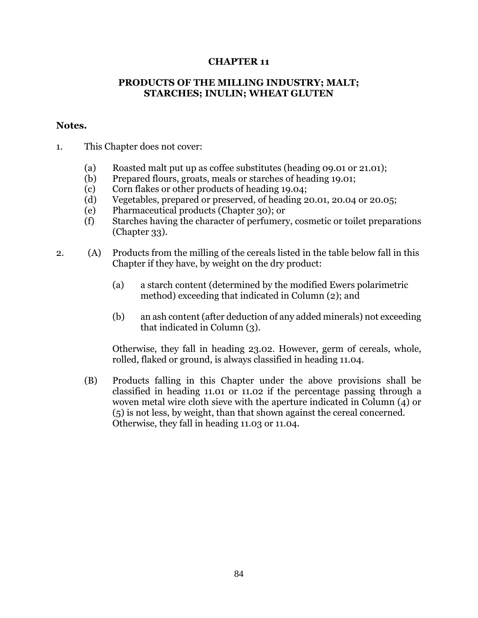## **CHAPTER 11**

## **PRODUCTS OF THE MILLING INDUSTRY; MALT; STARCHES; INULIN; WHEAT GLUTEN**

## **Notes.**

- 1. This Chapter does not cover:
	- (a) Roasted malt put up as coffee substitutes (heading 09.01 or 21.01);
	- (b) Prepared flours, groats, meals or starches of heading 19.01;
	- (c) Corn flakes or other products of heading 19.04;
	- (d) Vegetables, prepared or preserved, of heading 20.01, 20.04 or 20.05;
	- (e) Pharmaceutical products (Chapter 30); or
	- (f) Starches having the character of perfumery, cosmetic or toilet preparations (Chapter 33).
- 2. (A) Products from the milling of the cereals listed in the table below fall in this Chapter if they have, by weight on the dry product:
	- (a) a starch content (determined by the modified Ewers polarimetric method) exceeding that indicated in Column (2); and
	- (b) an ash content (after deduction of any added minerals) not exceeding that indicated in Column (3).

Otherwise, they fall in heading 23.02. However, germ of cereals, whole, rolled, flaked or ground, is always classified in heading 11.04.

(B) Products falling in this Chapter under the above provisions shall be classified in heading 11.01 or 11.02 if the percentage passing through a woven metal wire cloth sieve with the aperture indicated in Column (4) or (5) is not less, by weight, than that shown against the cereal concerned. Otherwise, they fall in heading 11.03 or 11.04.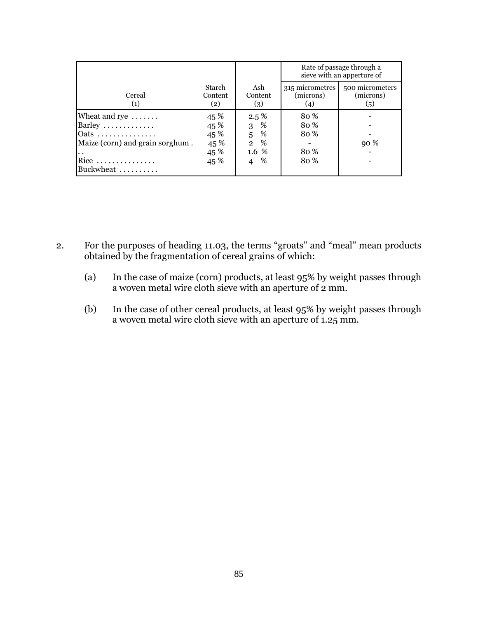|                                 |                          |                       | Rate of passage through a<br>sieve with an apperture of |                                     |  |
|---------------------------------|--------------------------|-----------------------|---------------------------------------------------------|-------------------------------------|--|
| Cereal<br>(1)                   | Starch<br>Content<br>(2) | Ash<br>Content<br>(3) | 315 micrometres<br>(microns)<br>(4)                     | 500 micrometers<br>(microns)<br>(5) |  |
| Wheat and rye                   | 45 %                     | $2.5\%$               | 80%                                                     |                                     |  |
| Barley                          | 45 %                     | %<br>3                | 80%                                                     |                                     |  |
| Oats                            | 45 %                     | 5<br>%                | 80 %                                                    |                                     |  |
| Maize (corn) and grain sorghum. | 45 %                     | $\overline{2}$<br>%   |                                                         | 90 %                                |  |
|                                 | 45 %                     | $1.6\%$               | 80%                                                     |                                     |  |
| Rice                            | 45 %                     | %<br>4                | 80%                                                     |                                     |  |
| Buckwheat                       |                          |                       |                                                         |                                     |  |

- 2. For the purposes of heading 11.03, the terms "groats" and "meal" mean products obtained by the fragmentation of cereal grains of which:
	- (a) In the case of maize (corn) products, at least 95% by weight passes through a woven metal wire cloth sieve with an aperture of 2 mm.
	- (b) In the case of other cereal products, at least 95% by weight passes through a woven metal wire cloth sieve with an aperture of 1.25 mm.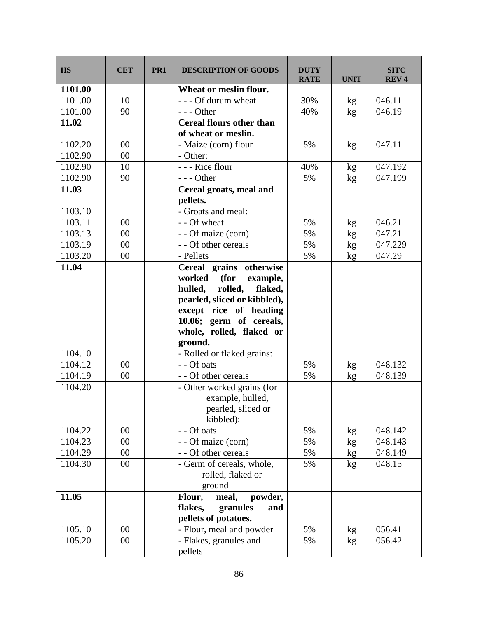| <b>HS</b> | <b>CET</b> | PR <sub>1</sub> | <b>DESCRIPTION OF GOODS</b>                                                                                                                                                                                     | <b>DUTY</b><br><b>RATE</b> | <b>UNIT</b> | <b>SITC</b><br><b>REV4</b> |
|-----------|------------|-----------------|-----------------------------------------------------------------------------------------------------------------------------------------------------------------------------------------------------------------|----------------------------|-------------|----------------------------|
| 1101.00   |            |                 | Wheat or meslin flour.                                                                                                                                                                                          |                            |             |                            |
| 1101.00   | 10         |                 | - - - Of durum wheat                                                                                                                                                                                            | 30%                        | kg          | 046.11                     |
| 1101.00   | 90         |                 | --- Other                                                                                                                                                                                                       | 40%                        | kg          | 046.19                     |
| 11.02     |            |                 | <b>Cereal flours other than</b><br>of wheat or meslin.                                                                                                                                                          |                            |             |                            |
| 1102.20   | 00         |                 | - Maize (corn) flour                                                                                                                                                                                            | 5%                         | kg          | 047.11                     |
| 1102.90   | 00         |                 | - Other:                                                                                                                                                                                                        |                            |             |                            |
| 1102.90   | 10         |                 | - - - Rice flour                                                                                                                                                                                                | 40%                        | kg          | 047.192                    |
| 1102.90   | 90         |                 | --- Other                                                                                                                                                                                                       | 5%                         | kg          | 047.199                    |
| 11.03     |            |                 | Cereal groats, meal and<br>pellets.                                                                                                                                                                             |                            |             |                            |
| 1103.10   |            |                 | - Groats and meal:                                                                                                                                                                                              |                            |             |                            |
| 1103.11   | 00         |                 | - - Of wheat                                                                                                                                                                                                    | 5%                         | kg          | 046.21                     |
| 1103.13   | 00         |                 | - - Of maize (corn)                                                                                                                                                                                             | 5%                         | kg          | 047.21                     |
| 1103.19   | $00\,$     |                 | - - Of other cereals                                                                                                                                                                                            | 5%                         | kg          | 047.229                    |
| 1103.20   | 00         |                 | - Pellets                                                                                                                                                                                                       | 5%                         | kg          | 047.29                     |
| 11.04     |            |                 | Cereal grains otherwise<br>(for<br>worked<br>example,<br>hulled, rolled,<br>flaked,<br>pearled, sliced or kibbled),<br>except rice of heading<br>10.06; germ of cereals,<br>whole, rolled, flaked or<br>ground. |                            |             |                            |
| 1104.10   |            |                 | - Rolled or flaked grains:                                                                                                                                                                                      |                            |             |                            |
| 1104.12   | 00         |                 | - - Of oats                                                                                                                                                                                                     | 5%                         | kg          | 048.132                    |
| 1104.19   | 00         |                 | - - Of other cereals                                                                                                                                                                                            | 5%                         | kg          | 048.139                    |
| 1104.20   |            |                 | - Other worked grains (for<br>example, hulled,<br>pearled, sliced or<br>kibbled):                                                                                                                               |                            |             |                            |
| 1104.22   | $00\,$     |                 | $\overline{-}$ - Of oats                                                                                                                                                                                        | 5%                         | kg          | 048.142                    |
| 1104.23   | $00\,$     |                 | - - Of maize (corn)                                                                                                                                                                                             | 5%                         | kg          | 048.143                    |
| 1104.29   | $00\,$     |                 | - - Of other cereals                                                                                                                                                                                            | 5%                         | kg          | 048.149                    |
| 1104.30   | $00\,$     |                 | - Germ of cereals, whole,<br>rolled, flaked or<br>ground                                                                                                                                                        | 5%                         | kg          | 048.15                     |
| 11.05     |            |                 | Flour,<br>meal,<br>powder,<br>flakes,<br>granules<br>and<br>pellets of potatoes.                                                                                                                                |                            |             |                            |
| 1105.10   | 00         |                 | - Flour, meal and powder                                                                                                                                                                                        | 5%                         | kg          | 056.41                     |
| 1105.20   | $00\,$     |                 | - Flakes, granules and<br>pellets                                                                                                                                                                               | 5%                         | kg          | 056.42                     |